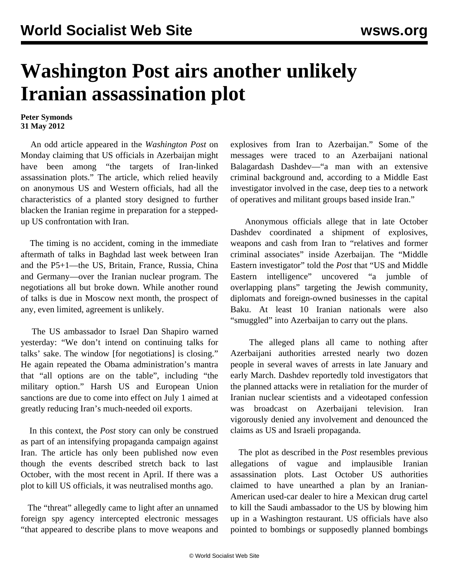## **Washington Post airs another unlikely Iranian assassination plot**

## **Peter Symonds 31 May 2012**

 An odd article appeared in the *Washington Post* on Monday claiming that US officials in Azerbaijan might have been among "the targets of Iran-linked assassination plots." The article, which relied heavily on anonymous US and Western officials, had all the characteristics of a planted story designed to further blacken the Iranian regime in preparation for a steppedup US confrontation with Iran.

 The timing is no accident, coming in the immediate aftermath of talks in Baghdad last week between Iran and the P5+1—the US, Britain, France, Russia, China and Germany—over the Iranian nuclear program. The negotiations all but broke down. While another round of talks is due in Moscow next month, the prospect of any, even limited, agreement is unlikely.

 The US ambassador to Israel Dan Shapiro warned yesterday: "We don't intend on continuing talks for talks' sake. The window [for negotiations] is closing." He again repeated the Obama administration's mantra that "all options are on the table", including "the military option." Harsh US and European Union sanctions are due to come into effect on July 1 aimed at greatly reducing Iran's much-needed oil exports.

 In this context, the *Post* story can only be construed as part of an intensifying propaganda campaign against Iran. The article has only been published now even though the events described stretch back to last October, with the most recent in April. If there was a plot to kill US officials, it was neutralised months ago.

 The "threat" allegedly came to light after an unnamed foreign spy agency intercepted electronic messages "that appeared to describe plans to move weapons and explosives from Iran to Azerbaijan." Some of the messages were traced to an Azerbaijani national Balagardash Dashdev—"a man with an extensive criminal background and, according to a Middle East investigator involved in the case, deep ties to a network of operatives and militant groups based inside Iran."

 Anonymous officials allege that in late October Dashdev coordinated a shipment of explosives, weapons and cash from Iran to "relatives and former criminal associates" inside Azerbaijan. The "Middle Eastern investigator" told the *Post* that "US and Middle Eastern intelligence" uncovered "a jumble of overlapping plans" targeting the Jewish community, diplomats and foreign-owned businesses in the capital Baku. At least 10 Iranian nationals were also "smuggled" into Azerbaijan to carry out the plans.

 The alleged plans all came to nothing after Azerbaijani authorities arrested nearly two dozen people in several waves of arrests in late January and early March. Dashdev reportedly told investigators that the planned attacks were in retaliation for the murder of Iranian nuclear scientists and a videotaped confession was broadcast on Azerbaijani television. Iran vigorously denied any involvement and denounced the claims as US and Israeli propaganda.

 The plot as described in the *Post* resembles previous allegations of vague and implausible Iranian assassination plots. Last October US authorities claimed to have unearthed a plan by an Iranian-American used-car dealer to hire a Mexican drug cartel to kill the Saudi ambassador to the US by blowing him up in a Washington restaurant. US officials have also pointed to bombings or supposedly planned bombings